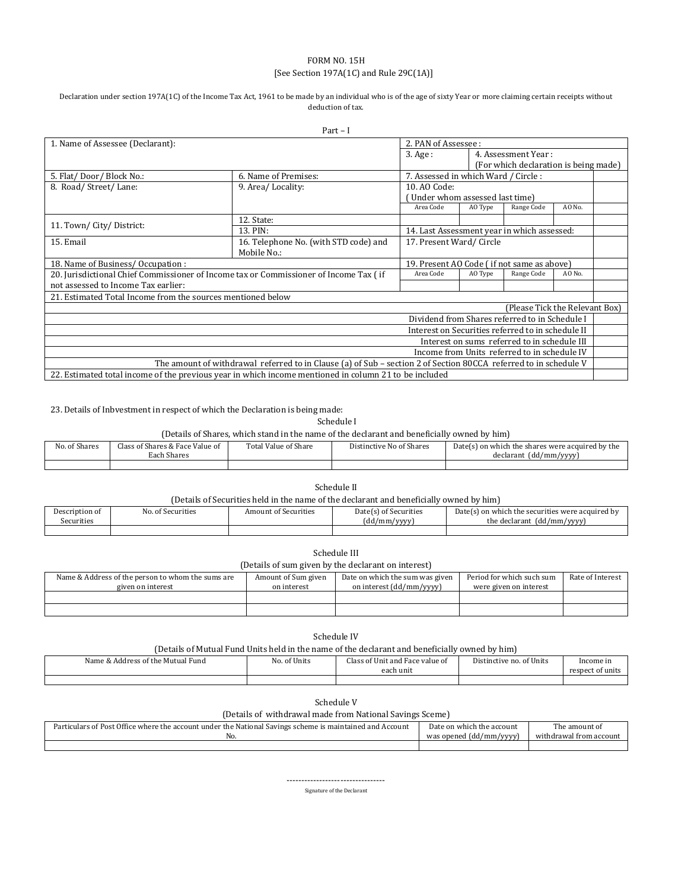## FORM NO. 15H [See Section 197A(1C) and Rule 29C(1A)]

#### Declaration under section 197A(1C) of the Income Tax Act, 1961 to be made by an individual who is of the age of sixty Year or more claiming certain receipts without deduction of tax.

| $Part - I$                                                                                                       |                                                                                                       |                                                   |                                             |                                              |        |  |
|------------------------------------------------------------------------------------------------------------------|-------------------------------------------------------------------------------------------------------|---------------------------------------------------|---------------------------------------------|----------------------------------------------|--------|--|
| 1. Name of Assessee (Declarant):                                                                                 |                                                                                                       | 2. PAN of Assessee:                               |                                             |                                              |        |  |
|                                                                                                                  |                                                                                                       | $3. \text{Age}:$                                  |                                             | 4. Assessment Year:                          |        |  |
|                                                                                                                  |                                                                                                       |                                                   |                                             | (For which declaration is being made)        |        |  |
| 5. Flat/Door/Block No.:                                                                                          | 6. Name of Premises:                                                                                  | 7. Assessed in which Ward / Circle:               |                                             |                                              |        |  |
| 8. Road/Street/Lane:                                                                                             | 9. Area/Locality:                                                                                     | 10. AO Code:                                      |                                             |                                              |        |  |
|                                                                                                                  |                                                                                                       | Under whom assessed last time)                    |                                             |                                              |        |  |
|                                                                                                                  |                                                                                                       | Area Code                                         | AO Type                                     | Range Code                                   | AO No. |  |
|                                                                                                                  | 12. State:                                                                                            |                                                   |                                             |                                              |        |  |
| 11. Town/City/District:                                                                                          | 13. PIN:                                                                                              |                                                   | 14. Last Assessment year in which assessed: |                                              |        |  |
| 15. Email<br>16. Telephone No. (with STD code) and                                                               |                                                                                                       | 17. Present Ward/Circle                           |                                             |                                              |        |  |
|                                                                                                                  | Mobile No.:                                                                                           |                                                   |                                             |                                              |        |  |
| 18. Name of Business/Occupation:                                                                                 |                                                                                                       | 19. Present AO Code (if not same as above)        |                                             |                                              |        |  |
| 20. Jurisdictional Chief Commissioner of Income tax or Commissioner of Income Tax (if                            |                                                                                                       | Area Code                                         | AO Type                                     | Range Code                                   | AO No. |  |
| not assessed to Income Tax earlier:                                                                              |                                                                                                       |                                                   |                                             |                                              |        |  |
| 21. Estimated Total Income from the sources mentioned below                                                      |                                                                                                       |                                                   |                                             |                                              |        |  |
|                                                                                                                  |                                                                                                       |                                                   |                                             | (Please Tick the Relevant Box)               |        |  |
|                                                                                                                  |                                                                                                       | Dividend from Shares referred to in Schedule I    |                                             |                                              |        |  |
|                                                                                                                  |                                                                                                       | Interest on Securities referred to in schedule II |                                             |                                              |        |  |
|                                                                                                                  |                                                                                                       |                                                   |                                             | Interest on sums referred to in schedule III |        |  |
| Income from Units referred to in schedule IV                                                                     |                                                                                                       |                                                   |                                             |                                              |        |  |
| The amount of withdrawal referred to in Clause (a) of Sub – section 2 of Section 80CCA referred to in schedule V |                                                                                                       |                                                   |                                             |                                              |        |  |
|                                                                                                                  | 22. Estimated total income of the previous year in which income mentioned in column 21 to be included |                                                   |                                             |                                              |        |  |

23. Details of Inbvestment in respect of which the Declaration is being made:

# Schedule I

(Details of Shares, which stand in the name of the declarant and beneficially owned by him)

| No. of Shares | Class of Shares & Face Value of<br>Each Shares | Total Value of Share | Distinctive No of Shares | $Date(s)$ on which the shares were acquired by the<br>declarant (dd/mm/yyyy) |
|---------------|------------------------------------------------|----------------------|--------------------------|------------------------------------------------------------------------------|
|               |                                                |                      |                          |                                                                              |

| Schedule II    |                                                                                         |                      |                                                     |                                                  |  |  |
|----------------|-----------------------------------------------------------------------------------------|----------------------|-----------------------------------------------------|--------------------------------------------------|--|--|
|                | (Details of Securities held in the name of the declarant and beneficially owned by him) |                      |                                                     |                                                  |  |  |
| Description of | No. of Securities                                                                       | Amount of Securities | Date(s) of Securities                               | Date(s) on which the securities were acquired by |  |  |
| Securities     |                                                                                         |                      | $\left(\frac{1}{2} \text{d} \cdot \text{d} \right)$ | the declarant (dd/mm/ $(nnn)$ )                  |  |  |

| Securities<br>. |  | . .<br>(dd/mm/yyyy<br>,,,, | the declarant<br>./mm/vvvv<br>(dd.<br>. |
|-----------------|--|----------------------------|-----------------------------------------|
|                 |  |                            |                                         |
|                 |  |                            |                                         |

| (Details of sum given by the declarant on interest) |                     |                                 |                           |                  |  |
|-----------------------------------------------------|---------------------|---------------------------------|---------------------------|------------------|--|
| Name & Address of the person to whom the sums are   | Amount of Sum given | Date on which the sum was given | Period for which such sum | Rate of Interest |  |
| given on interest                                   | on interest         | on interest (dd/mm/yyyy)        | were given on interest    |                  |  |
|                                                     |                     |                                 |                           |                  |  |
|                                                     |                     |                                 |                           |                  |  |

| Schedule IV                                                                                    |              |                                 |                          |                  |  |
|------------------------------------------------------------------------------------------------|--------------|---------------------------------|--------------------------|------------------|--|
| (Details of Mutual Fund Units held in the name of the declarant and beneficially owned by him) |              |                                 |                          |                  |  |
| Name & Address of the Mutual Fund                                                              | No. of Units | Class of Unit and Face value of | Distinctive no. of Units | Income in        |  |
|                                                                                                |              | each unit.                      |                          | respect of units |  |
|                                                                                                |              |                                 |                          |                  |  |

| Schedule V |
|------------|
|------------|

(Details of withdrawal made from National Savings Sceme)

| $\cdots$                                                                                                   |                                     |                         |  |  |  |
|------------------------------------------------------------------------------------------------------------|-------------------------------------|-------------------------|--|--|--|
| ciculars of Post Office where the account under the National Savings scheme is maintained and A<br>Account | Date on which the account           | The amount of           |  |  |  |
| NO.                                                                                                        | was opened (dd/mm/<br>/ <i>vvvv</i> | withdrawal from account |  |  |  |
|                                                                                                            |                                     |                         |  |  |  |

--------------------------------- Signature of the Declarant

Schedule III<br>
separate deal